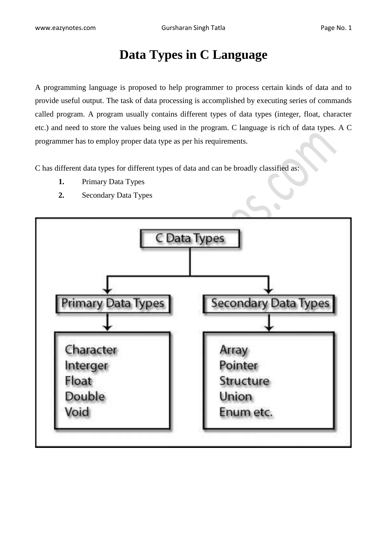# **Data Types in C Language**

A programming language is proposed to help programmer to process certain kinds of data and to provide useful output. The task of data processing is accomplished by executing series of commands called program. A program usually contains different types of data types (integer, float, character etc.) and need to store the values being used in the program. C language is rich of data types. A C programmer has to employ proper data type as per his requirements.

C has different data types for different types of data and can be broadly classified as:

- **1.** Primary Data Types
- **2.** Secondary Data Types

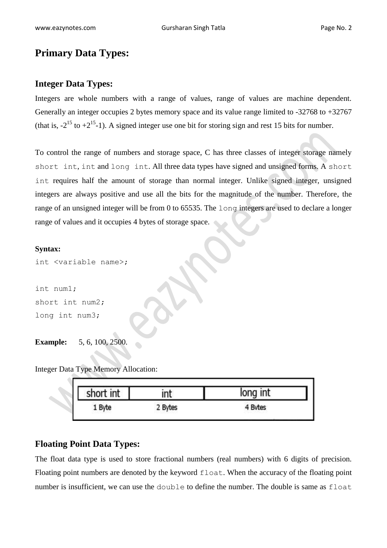## **Primary Data Types:**

#### **Integer Data Types:**

Integers are whole numbers with a range of values, range of values are machine dependent. Generally an integer occupies 2 bytes memory space and its value range limited to -32768 to +32767 (that is,  $-2^{15}$  to  $+2^{15}$ -1). A signed integer use one bit for storing sign and rest 15 bits for number.

To control the range of numbers and storage space, C has three classes of integer storage namely short int, int and long int. All three data types have signed and unsigned forms. A short int requires half the amount of storage than normal integer. Unlike signed integer, unsigned integers are always positive and use all the bits for the magnitude of the number. Therefore, the range of an unsigned integer will be from 0 to 65535. The long integers are used to declare a longer range of values and it occupies 4 bytes of storage space.

#### **Syntax:**

int <variable name>;

int num1; short int num2; long int num3;

### **Example:** 5, 6, 100, 2500.

Integer Data Type Memory Allocation:

| short int |         | long int     |
|-----------|---------|--------------|
| . Byte    | 2 Bytes | <b>Bytes</b> |

#### **Floating Point Data Types:**

The float data type is used to store fractional numbers (real numbers) with 6 digits of precision. Floating point numbers are denoted by the keyword float. When the accuracy of the floating point number is insufficient, we can use the double to define the number. The double is same as float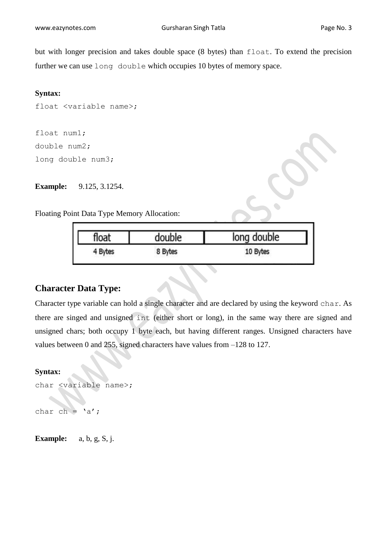but with longer precision and takes double space (8 bytes) than float. To extend the precision further we can use long double which occupies 10 bytes of memory space.

#### **Syntax:**

```
float <variable name>;
```

```
float num1;
double num2;
long double num3;
```
**Example:** 9.125, 3.1254.

Floating Point Data Type Memory Allocation:

| float   | double  | long double |
|---------|---------|-------------|
| 4 Bytes | 8 Bytes | 10 Bytes    |

### **Character Data Type:**

Character type variable can hold a single character and are declared by using the keyword char. As there are singed and unsigned int (either short or long), in the same way there are signed and unsigned chars; both occupy 1 byte each, but having different ranges. Unsigned characters have values between 0 and 255, signed characters have values from –128 to 127.

#### **Syntax:**

```
char <variable name>;
char ch = 'a';
```
**Example:** a, b, g, S, j.